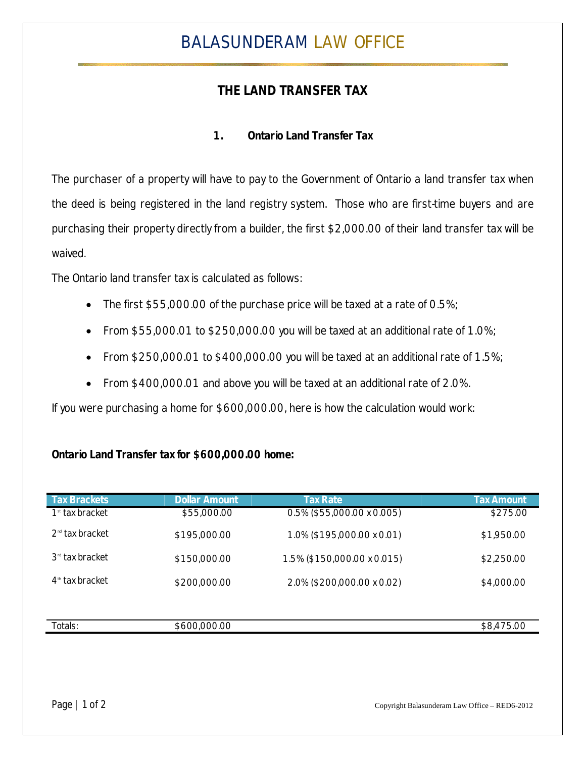# BALASUNDERAM LAW OFFICE

## **THE LAND TRANSFER TAX**

### **1. Ontario Land Transfer Tax**

The purchaser of a property will have to pay to the Government of Ontario a land transfer tax when the deed is being registered in the land registry system. Those who are first-time buyers and are purchasing their property directly from a builder, the first \$2,000.00 of their land transfer tax will be waived.

The Ontario land transfer tax is calculated as follows:

- The first \$55,000.00 of the purchase price will be taxed at a rate of 0.5%;
- From \$55,000.01 to \$250,000.00 you will be taxed at an additional rate of 1.0%;
- From \$250,000.01 to \$400,000.00 you will be taxed at an additional rate of 1.5%;
- From \$400,000.01 and above you will be taxed at an additional rate of 2.0%.

If you were purchasing a home for \$600,000.00, here is how the calculation would work:

#### **Ontario Land Transfer tax for \$600,000.00 home:**

| <b>Tax Brackets</b> | <b>Dollar Amount</b> | <b>Tax Rate</b>             | <b>Tax Amount</b> |
|---------------------|----------------------|-----------------------------|-------------------|
| $1st$ tax bracket   | \$55,000.00          | 0.5% (\$55,000.00 x 0.005)  | \$275.00          |
| $2nd$ tax bracket   | \$195,000.00         | 1.0% (\$195,000.00 x 0.01)  | \$1,950.00        |
| $3rd$ tax bracket   | \$150,000.00         | 1.5% (\$150,000.00 x 0.015) | \$2,250.00        |
| $4th$ tax bracket   | \$200,000.00         | 2.0% (\$200,000.00 x 0.02)  | \$4,000.00        |
|                     |                      |                             |                   |
| Totals:             | \$600,000.00         |                             | \$8,475.00        |